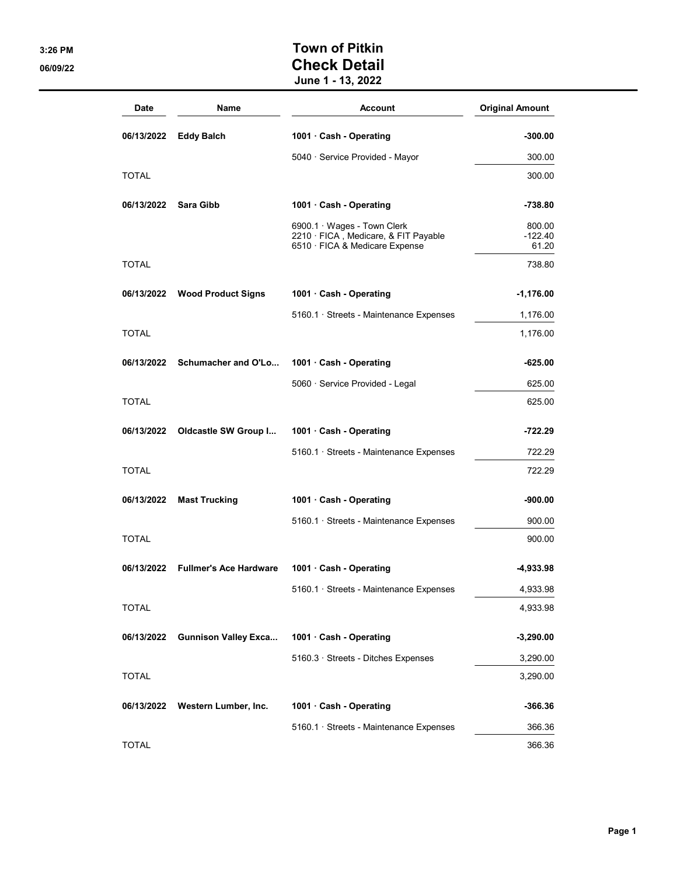## 3:26 PM 3:26 PM 06/09/22 **Check Detail** June 1 - 13, 2022

| <b>Date</b>  | Name                          | <b>Account</b>                                                                                        | <b>Original Amount</b>       |
|--------------|-------------------------------|-------------------------------------------------------------------------------------------------------|------------------------------|
| 06/13/2022   | <b>Eddy Balch</b>             | 1001 Cash - Operating                                                                                 | $-300.00$                    |
|              |                               | 5040 · Service Provided - Mayor                                                                       | 300.00                       |
| TOTAL        |                               |                                                                                                       | 300.00                       |
| 06/13/2022   | <b>Sara Gibb</b>              | 1001 Cash - Operating                                                                                 | -738.80                      |
|              |                               | 6900.1 · Wages - Town Clerk<br>2210 · FICA, Medicare, & FIT Payable<br>6510 · FICA & Medicare Expense | 800.00<br>$-122.40$<br>61.20 |
| <b>TOTAL</b> |                               |                                                                                                       | 738.80                       |
| 06/13/2022   | <b>Wood Product Signs</b>     | 1001 · Cash - Operating                                                                               | $-1,176.00$                  |
|              |                               | 5160.1 · Streets - Maintenance Expenses                                                               | 1,176.00                     |
| <b>TOTAL</b> |                               |                                                                                                       | 1,176.00                     |
| 06/13/2022   | Schumacher and O'Lo           | 1001 · Cash - Operating                                                                               | -625.00                      |
|              |                               | 5060 · Service Provided - Legal                                                                       | 625.00                       |
| <b>TOTAL</b> |                               |                                                                                                       | 625.00                       |
| 06/13/2022   | Oldcastle SW Group I          | 1001 Cash - Operating                                                                                 | -722.29                      |
|              |                               | 5160.1 · Streets - Maintenance Expenses                                                               | 722.29                       |
| <b>TOTAL</b> |                               |                                                                                                       | 722.29                       |
| 06/13/2022   | <b>Mast Trucking</b>          | 1001 · Cash - Operating                                                                               | $-900.00$                    |
|              |                               | 5160.1 · Streets - Maintenance Expenses                                                               | 900.00                       |
| <b>TOTAL</b> |                               |                                                                                                       | 900.00                       |
| 06/13/2022   | <b>Fullmer's Ace Hardware</b> | 1001 Cash - Operating                                                                                 | -4,933.98                    |
|              |                               | $5160.1 \cdot$ Streets - Maintenance Expenses                                                         | 4.933.98                     |
| <b>TOTAL</b> |                               |                                                                                                       | 4,933.98                     |
| 06/13/2022   | <b>Gunnison Valley Exca</b>   | 1001 · Cash - Operating                                                                               | $-3,290.00$                  |
|              |                               | 5160.3 · Streets - Ditches Expenses                                                                   | 3,290.00                     |
| <b>TOTAL</b> |                               |                                                                                                       | 3,290.00                     |
| 06/13/2022   | Western Lumber, Inc.          | 1001 · Cash - Operating                                                                               | $-366.36$                    |
|              |                               | 5160.1 · Streets - Maintenance Expenses                                                               | 366.36                       |
| <b>TOTAL</b> |                               |                                                                                                       | 366.36                       |